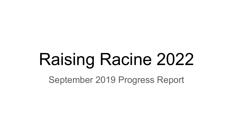# Raising Racine 2022

September 2019 Progress Report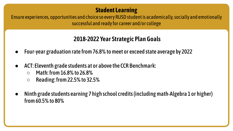Ensure experiences, opportunities and choice so every RUSD student is academically, socially and emotionally successful and ready for career and/or college

- Four-year graduation rate from 76.8% to meet or exceed state average by 2022
- ACT: Eleventh grade students at or above the CCR Benchmark:
	- Math: from 16.8% to 26.8%
	- $\circ$  Reading: from 22.5% to 32.5%
- Ninth grade students earning 7 high school credits (including math-Algebra 1 or higher) from 60.5% to 80%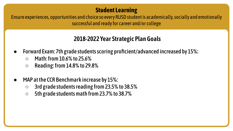Ensure experiences, opportunities and choice so every RUSD student is academically, socially and emotionally successful and ready for career and/or college

- Forward Exam: 7th grade students scoring proficient/advanced increased by 15%:
	- $\circ$  Math: from 10.6% to 25.6%
	- $\circ$  Reading: from 14.8% to 29.8%
- MAP at the CCR Benchmark increase by 15%:
	- 3rd grade students reading from 23.5% to 38.5%
	- 5th grade students math from 23.7% to 38.7%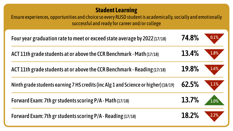Ensure experiences, opportunities and choice so every RUSD student is academically, socially and emotionally successful and ready for career and/or college

| Four year graduation rate to meet or exceed state average by 2022 (17/18)           | 74.8% | 0.1%    |
|-------------------------------------------------------------------------------------|-------|---------|
| ACT 11th grade students at or above the CCR Benchmark - Math (17/18)                | 13.4% | $1.8\%$ |
| ACT 11th grade students at or above the CCR Benchmark - Reading (17/18)             | 19.8% | $1.6\%$ |
| Ninth grade students earning 7 HS credits (inc Alg 1 and Science or higher) (18/19) | 62.5% | $1.1\%$ |
| Forward Exam: 7th gr students scoring P/A - Math (17/18)                            | 13.7% | 1.0%    |
| Forward Exam: 7th gr students scoring P/A - Reading (17/18)                         | 18.2% | 2.2%    |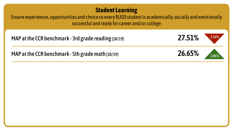Ensure experiences, opportunities and choice so every RUSD student is academically, socially and emotionally successful and ready for career and/or college

MAP at the CCR benchmark - 3rd grade reading (18/19) **1.54% 27.51%** 1.54%





MAP at the CCR benchmark - 5th grade math (18/19) **26.65%** 2.86%



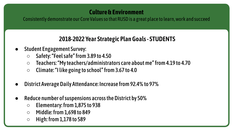Consistently demonstrate our Core Values so that RUSD is a great place to learn, work and succeed

# **2018-2022 Year Strategic Plan Goals - STUDENTS**

- **Student Engagement Survey:** 
	- Safety: "Feel safe" from 3.89 to 4.50
	- Teachers: "My teachers/administrators care about me" from 4.19 to 4.70
	- Climate: "I like going to school" from 3.67 to 4.0
- District Average Daily Attendance: Increase from 92.4% to 97%
- Reduce number of suspensions across the District by 50%
	- Elementary: from 1,875 to 938
	- Middle: from 1,698 to 849
	- $\circ$  High: from 1,178 to 589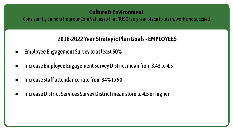Consistently demonstrate our Core Values so that RUSD is a great place to learn, work and succeed

## **2018-2022 Year Strategic Plan Goals - EMPLOYEES**

- Employee Engagement Survey to at least 50%
- Increase Employee Engagement Survey District mean from 3.43 to 4.5
- Increase staff attendance rate from 84% to 90
- Increase District Services Survey District mean store to 4.5 or higher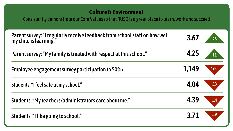Consistently demonstrate our Core Values so that RUSD is a great place to learn, work and succeed

| Parent survey: "I regularly receive feedback from school staff on how well<br>my child is learning." | 3.67  | .25 <sub>1</sub> |
|------------------------------------------------------------------------------------------------------|-------|------------------|
| Parent survey: "My family is treated with respect at this school."                                   | 4.25  | $\overline{11}$  |
| Employee engagement survey participation to 50%+.                                                    | 1,149 | 493              |
| Students: "I feel safe at my school."                                                                | 4.04  | .13              |
| Students: "My teachers/administrators care about me."                                                | 4.39  | .14              |
| Students: "I like going to school."                                                                  | 3.71  | .19              |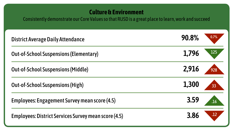Consistently demonstrate our Core Values so that RUSD is a great place to learn, work and succeed

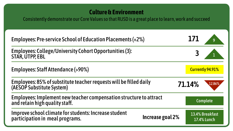Consistently demonstrate our Core Values so that RUSD is a great place to learn, work and succeed

| Employees: Pre-service School of Education Placements (+2%)                                                  | 171    |                                       |
|--------------------------------------------------------------------------------------------------------------|--------|---------------------------------------|
| Employees: College/University Cohort Opportunities (3):<br>STAR, ÚTPP, EBL                                   |        |                                       |
| <b>Employees: Staff Attendance (&gt;90%)</b>                                                                 |        | <b>Currently 94.91%</b>               |
| Employees: 85% of substitute teacher requests will be filled daily<br>(AESOP Substitute System)              | 71.14% | 12.86%                                |
| Employees: Implement new teacher compensation structure to attract<br>and retain high quality staff.         |        | <b>Complete</b>                       |
| Improve school climate for students: Increase student<br>Increase goal 2%<br>participation in meal programs. |        | 13.4% Breakfast<br><b>17.4% Lunch</b> |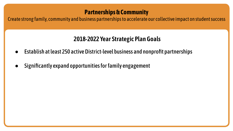## **Partnerships & Community**

Create strong family, community and business partnerships to accelerate our collective impact on student success

- Establish at least 250 active District-level business and nonprofit partnerships
- Significantly expand opportunities for family engagement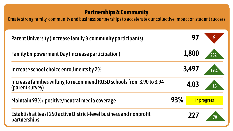## **Partnerships & Community**

Create strong family, community and business partnerships to accelerate our collective impact on student success

| Parent University (increase family & community participants)                             |       |             |
|------------------------------------------------------------------------------------------|-------|-------------|
| <b>Family Empowerment Day (increase participation)</b>                                   | 1,800 | 232         |
| Increase school choice enrollments by 2%                                                 | 3,497 | 19%         |
| Increase families willing to recommend RUSD schools from 3.90 to 3.94<br>(parent survey) | 4.03  | .13         |
| Maintain 93%+ positive/neutral media coverage                                            | 93%   | In progress |
| Establish at least 250 active District-level business and nonprofit<br>partnerships      | 777   |             |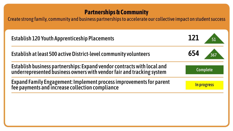## **Partnerships & Community**

Create strong family, community and business partnerships to accelerate our collective impact on student success

| <b>Establish 120 Youth Apprenticeship Placements</b>                                                                                             | 121             |  |
|--------------------------------------------------------------------------------------------------------------------------------------------------|-----------------|--|
| Establish at least 500 active District-level community volunteers                                                                                | 654             |  |
| Establish business partnerships: Expand vendor contracts with local and<br>underrepresented business owners with vendor fair and tracking system | <b>Complete</b> |  |
| Expand Family Engagement: Implement process improvements for parent<br>fee payments and increase collection compliance                           | In progress     |  |
|                                                                                                                                                  |                 |  |
|                                                                                                                                                  |                 |  |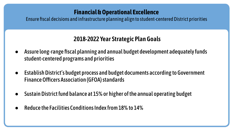## **Financial & Operational Excellence**

Ensure fiscal decisions and infrastructure planning align to student-centered District priorities

- Assure long-range fiscal planning and annual budget development adequately funds student-centered programs and priorities
- Establish District's budget process and budget documents according to Government Finance Officers Association (GFOA) standards
- Sustain District fund balance at 15% or higher of the annual operating budget
- Reduce the Facilities Conditions Index from 18% to 14%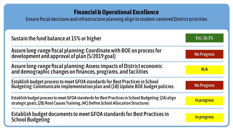## **Financial & Operational Excellence**

Ensure fiscal decisions and infrastructure planning align to student-centered District priorities

| Sustain the fund balance at 15% or higher                                                                                                                                                  | Est.: 16.3%        |
|--------------------------------------------------------------------------------------------------------------------------------------------------------------------------------------------|--------------------|
| Assure long-range fiscal planning: Coordinate with BOE on process for<br>development and approval of plan (5/2019 goal)                                                                    | <b>No Progress</b> |
| Assure long-range fiscal planning: Assess impacts of District economic<br>and demographic changes on finances, programs, and facilities                                                    | N/A                |
| Establish budget process to meet GFOA standards for Best Practices in School<br>Budgeting: Communicate implementation plan and (1B) Update BOE budget policies.                            | <b>No Progress</b> |
| Establish budget process to meet GFOA standards for Best Practices in School Budgeting: (2A) align<br>strategic goals, (2B) Root Causes Training, (4C) Define School Allocation Structures | In progress        |
| Establish budget documents to meet GFOA standards for Best Practices in<br><b>School Budgeting</b>                                                                                         | In progress        |